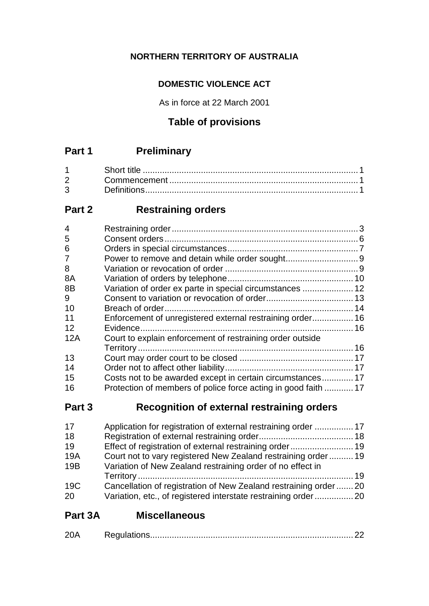## **NORTHERN TERRITORY OF AUSTRALIA**

## **DOMESTIC VIOLENCE ACT**

As in force at 22 March 2001

# **Table of provisions**

# **Part 1 Preliminary**

| $2 \left( \frac{1}{2} \right)$ |  |
|--------------------------------|--|
| $3^{\circ}$                    |  |

# **Part 2 Restraining orders**

| 4              |                                                                |  |
|----------------|----------------------------------------------------------------|--|
| 5              |                                                                |  |
| 6              |                                                                |  |
| $\overline{7}$ |                                                                |  |
| 8              |                                                                |  |
| 8A             |                                                                |  |
| 8B             | Variation of order ex parte in special circumstances  12       |  |
| 9              |                                                                |  |
| 10             |                                                                |  |
| 11             | Enforcement of unregistered external restraining order 16      |  |
| 12             |                                                                |  |
| 12A            | Court to explain enforcement of restraining order outside      |  |
|                |                                                                |  |
| 13             |                                                                |  |
| 14             |                                                                |  |
| 15             | Costs not to be awarded except in certain circumstances 17     |  |
| 16             | Protection of members of police force acting in good faith  17 |  |
| Part 3         | Recognition of external restraining orders                     |  |

| 17              | Application for registration of external restraining order  17    |  |
|-----------------|-------------------------------------------------------------------|--|
| 18              |                                                                   |  |
| 19              |                                                                   |  |
| <b>19A</b>      | Court not to vary registered New Zealand restraining order19      |  |
| 19B             | Variation of New Zealand restraining order of no effect in        |  |
|                 |                                                                   |  |
| 19 <sub>C</sub> | Cancellation of registration of New Zealand restraining order  20 |  |
| 20              | Variation, etc., of registered interstate restraining order20     |  |
|                 |                                                                   |  |

# **Part 3A Miscellaneous**

| 20A |  |  |
|-----|--|--|
|-----|--|--|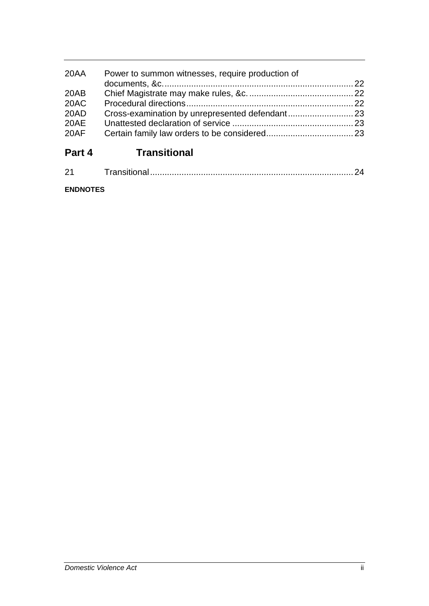| 20AA | Power to summon witnesses, require production of |  |
|------|--------------------------------------------------|--|
|      |                                                  |  |
| 20AB |                                                  |  |
| 20AC |                                                  |  |
| 20AD |                                                  |  |
| 20AE |                                                  |  |
| 20AF |                                                  |  |
|      |                                                  |  |

# **Part 4 Transitional**

|--|--|--|--|

**ENDNOTES**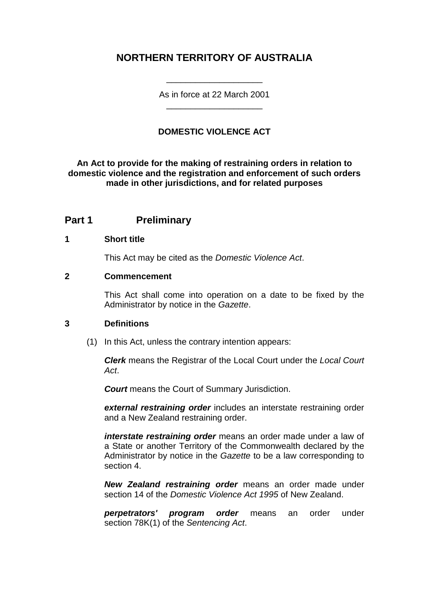## **NORTHERN TERRITORY OF AUSTRALIA**

As in force at 22 March 2001 \_\_\_\_\_\_\_\_\_\_\_\_\_\_\_\_\_\_\_\_

\_\_\_\_\_\_\_\_\_\_\_\_\_\_\_\_\_\_\_\_

## **DOMESTIC VIOLENCE ACT**

**An Act to provide for the making of restraining orders in relation to domestic violence and the registration and enforcement of such orders made in other jurisdictions, and for related purposes**

## **Part 1 Preliminary**

#### **1 Short title**

This Act may be cited as the *Domestic Violence Act*.

#### **2 Commencement**

This Act shall come into operation on a date to be fixed by the Administrator by notice in the *Gazette*.

#### **3 Definitions**

(1) In this Act, unless the contrary intention appears:

*Clerk* means the Registrar of the Local Court under the *Local Court Act*.

*Court* means the Court of Summary Jurisdiction.

*external restraining order* includes an interstate restraining order and a New Zealand restraining order.

*interstate restraining order* means an order made under a law of a State or another Territory of the Commonwealth declared by the Administrator by notice in the *Gazette* to be a law corresponding to section 4.

*New Zealand restraining order* means an order made under section 14 of the *Domestic Violence Act 1995* of New Zealand.

*perpetrators' program order* means an order under section 78K(1) of the *Sentencing Act*.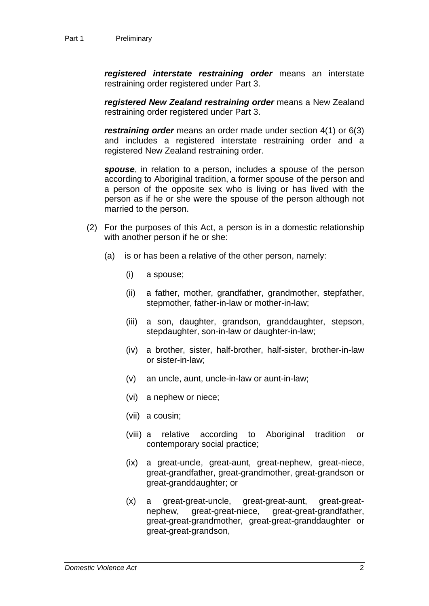*registered interstate restraining order* means an interstate restraining order registered under Part 3.

*registered New Zealand restraining order* means a New Zealand restraining order registered under Part 3.

*restraining order* means an order made under section 4(1) or 6(3) and includes a registered interstate restraining order and a registered New Zealand restraining order.

*spouse*, in relation to a person, includes a spouse of the person according to Aboriginal tradition, a former spouse of the person and a person of the opposite sex who is living or has lived with the person as if he or she were the spouse of the person although not married to the person.

- (2) For the purposes of this Act, a person is in a domestic relationship with another person if he or she:
	- (a) is or has been a relative of the other person, namely:
		- (i) a spouse;
		- (ii) a father, mother, grandfather, grandmother, stepfather, stepmother, father-in-law or mother-in-law;
		- (iii) a son, daughter, grandson, granddaughter, stepson, stepdaughter, son-in-law or daughter-in-law;
		- (iv) a brother, sister, half-brother, half-sister, brother-in-law or sister-in-law;
		- (v) an uncle, aunt, uncle-in-law or aunt-in-law;
		- (vi) a nephew or niece;
		- (vii) a cousin;
		- (viii) a relative according to Aboriginal tradition or contemporary social practice;
		- (ix) a great-uncle, great-aunt, great-nephew, great-niece, great-grandfather, great-grandmother, great-grandson or great-granddaughter; or
		- (x) a great-great-uncle, great-great-aunt, great-greatnephew, great-great-niece, great-great-grandfather, great-great-grandmother, great-great-granddaughter or great-great-grandson,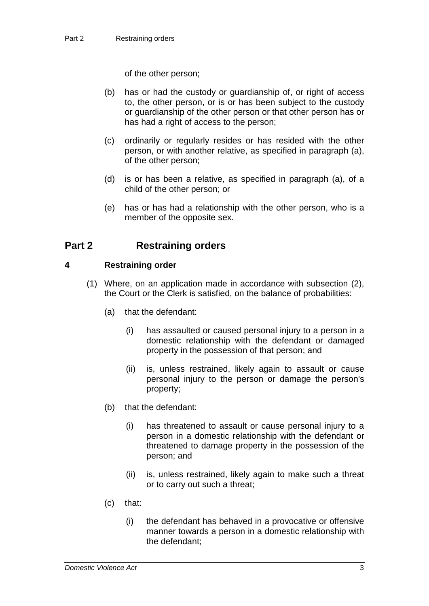of the other person;

- (b) has or had the custody or guardianship of, or right of access to, the other person, or is or has been subject to the custody or guardianship of the other person or that other person has or has had a right of access to the person;
- (c) ordinarily or regularly resides or has resided with the other person, or with another relative, as specified in paragraph (a), of the other person;
- (d) is or has been a relative, as specified in paragraph (a), of a child of the other person; or
- (e) has or has had a relationship with the other person, who is a member of the opposite sex.

## **Part 2 Restraining orders**

#### **4 Restraining order**

- (1) Where, on an application made in accordance with subsection (2), the Court or the Clerk is satisfied, on the balance of probabilities:
	- (a) that the defendant:
		- (i) has assaulted or caused personal injury to a person in a domestic relationship with the defendant or damaged property in the possession of that person; and
		- (ii) is, unless restrained, likely again to assault or cause personal injury to the person or damage the person's property;
	- (b) that the defendant:
		- (i) has threatened to assault or cause personal injury to a person in a domestic relationship with the defendant or threatened to damage property in the possession of the person; and
		- (ii) is, unless restrained, likely again to make such a threat or to carry out such a threat;
	- (c) that:
		- (i) the defendant has behaved in a provocative or offensive manner towards a person in a domestic relationship with the defendant;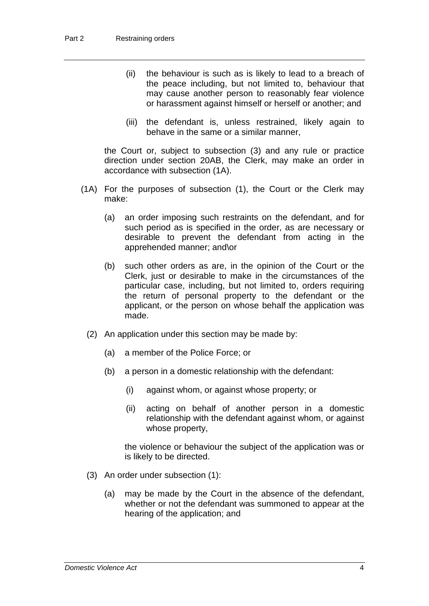- (ii) the behaviour is such as is likely to lead to a breach of the peace including, but not limited to, behaviour that may cause another person to reasonably fear violence or harassment against himself or herself or another; and
- (iii) the defendant is, unless restrained, likely again to behave in the same or a similar manner,

the Court or, subject to subsection (3) and any rule or practice direction under section 20AB, the Clerk, may make an order in accordance with subsection (1A).

- (1A) For the purposes of subsection (1), the Court or the Clerk may make:
	- (a) an order imposing such restraints on the defendant, and for such period as is specified in the order, as are necessary or desirable to prevent the defendant from acting in the apprehended manner; and\or
	- (b) such other orders as are, in the opinion of the Court or the Clerk, just or desirable to make in the circumstances of the particular case, including, but not limited to, orders requiring the return of personal property to the defendant or the applicant, or the person on whose behalf the application was made.
	- (2) An application under this section may be made by:
		- (a) a member of the Police Force; or
		- (b) a person in a domestic relationship with the defendant:
			- (i) against whom, or against whose property; or
			- (ii) acting on behalf of another person in a domestic relationship with the defendant against whom, or against whose property,

the violence or behaviour the subject of the application was or is likely to be directed.

- (3) An order under subsection (1):
	- (a) may be made by the Court in the absence of the defendant, whether or not the defendant was summoned to appear at the hearing of the application; and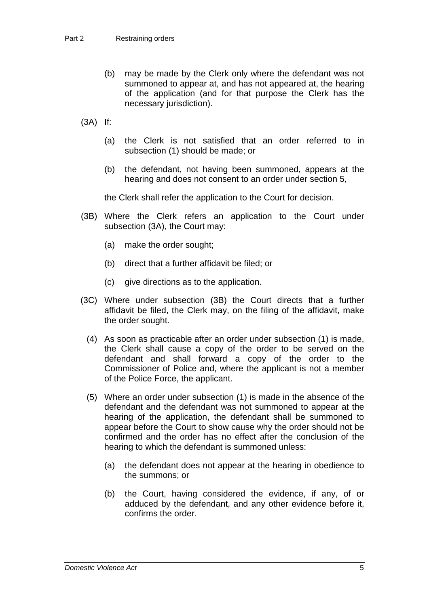- (b) may be made by the Clerk only where the defendant was not summoned to appear at, and has not appeared at, the hearing of the application (and for that purpose the Clerk has the necessary jurisdiction).
- (3A) If:
	- (a) the Clerk is not satisfied that an order referred to in subsection (1) should be made; or
	- (b) the defendant, not having been summoned, appears at the hearing and does not consent to an order under section 5,

the Clerk shall refer the application to the Court for decision.

- (3B) Where the Clerk refers an application to the Court under subsection (3A), the Court may:
	- (a) make the order sought;
	- (b) direct that a further affidavit be filed; or
	- (c) give directions as to the application.
- (3C) Where under subsection (3B) the Court directs that a further affidavit be filed, the Clerk may, on the filing of the affidavit, make the order sought.
	- (4) As soon as practicable after an order under subsection (1) is made, the Clerk shall cause a copy of the order to be served on the defendant and shall forward a copy of the order to the Commissioner of Police and, where the applicant is not a member of the Police Force, the applicant.
	- (5) Where an order under subsection (1) is made in the absence of the defendant and the defendant was not summoned to appear at the hearing of the application, the defendant shall be summoned to appear before the Court to show cause why the order should not be confirmed and the order has no effect after the conclusion of the hearing to which the defendant is summoned unless:
		- (a) the defendant does not appear at the hearing in obedience to the summons; or
		- (b) the Court, having considered the evidence, if any, of or adduced by the defendant, and any other evidence before it, confirms the order.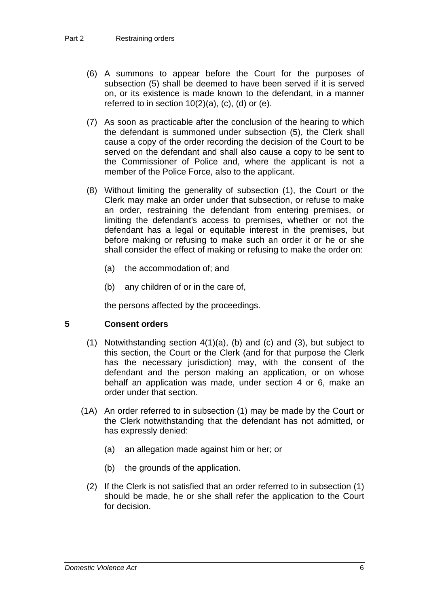- (6) A summons to appear before the Court for the purposes of subsection (5) shall be deemed to have been served if it is served on, or its existence is made known to the defendant, in a manner referred to in section  $10(2)(a)$ ,  $(c)$ ,  $(d)$  or  $(e)$ .
- (7) As soon as practicable after the conclusion of the hearing to which the defendant is summoned under subsection (5), the Clerk shall cause a copy of the order recording the decision of the Court to be served on the defendant and shall also cause a copy to be sent to the Commissioner of Police and, where the applicant is not a member of the Police Force, also to the applicant.
- (8) Without limiting the generality of subsection (1), the Court or the Clerk may make an order under that subsection, or refuse to make an order, restraining the defendant from entering premises, or limiting the defendant's access to premises, whether or not the defendant has a legal or equitable interest in the premises, but before making or refusing to make such an order it or he or she shall consider the effect of making or refusing to make the order on:
	- (a) the accommodation of; and
	- (b) any children of or in the care of,

the persons affected by the proceedings.

#### **5 Consent orders**

- (1) Notwithstanding section 4(1)(a), (b) and (c) and (3), but subject to this section, the Court or the Clerk (and for that purpose the Clerk has the necessary jurisdiction) may, with the consent of the defendant and the person making an application, or on whose behalf an application was made, under section 4 or 6, make an order under that section.
- (1A) An order referred to in subsection (1) may be made by the Court or the Clerk notwithstanding that the defendant has not admitted, or has expressly denied:
	- (a) an allegation made against him or her; or
	- (b) the grounds of the application.
	- (2) If the Clerk is not satisfied that an order referred to in subsection (1) should be made, he or she shall refer the application to the Court for decision.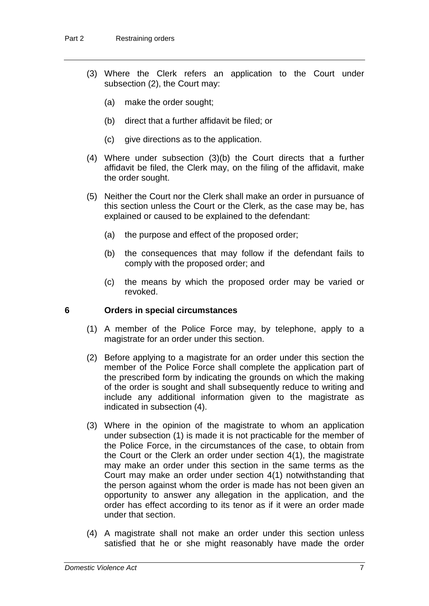- (3) Where the Clerk refers an application to the Court under subsection (2), the Court may:
	- (a) make the order sought;
	- (b) direct that a further affidavit be filed; or
	- (c) give directions as to the application.
- (4) Where under subsection (3)(b) the Court directs that a further affidavit be filed, the Clerk may, on the filing of the affidavit, make the order sought.
- (5) Neither the Court nor the Clerk shall make an order in pursuance of this section unless the Court or the Clerk, as the case may be, has explained or caused to be explained to the defendant:
	- (a) the purpose and effect of the proposed order;
	- (b) the consequences that may follow if the defendant fails to comply with the proposed order; and
	- (c) the means by which the proposed order may be varied or revoked.

#### **6 Orders in special circumstances**

- (1) A member of the Police Force may, by telephone, apply to a magistrate for an order under this section.
- (2) Before applying to a magistrate for an order under this section the member of the Police Force shall complete the application part of the prescribed form by indicating the grounds on which the making of the order is sought and shall subsequently reduce to writing and include any additional information given to the magistrate as indicated in subsection (4).
- (3) Where in the opinion of the magistrate to whom an application under subsection (1) is made it is not practicable for the member of the Police Force, in the circumstances of the case, to obtain from the Court or the Clerk an order under section 4(1), the magistrate may make an order under this section in the same terms as the Court may make an order under section 4(1) notwithstanding that the person against whom the order is made has not been given an opportunity to answer any allegation in the application, and the order has effect according to its tenor as if it were an order made under that section.
- (4) A magistrate shall not make an order under this section unless satisfied that he or she might reasonably have made the order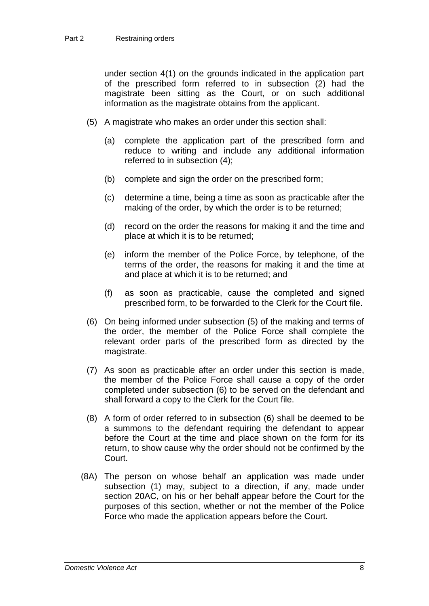under section 4(1) on the grounds indicated in the application part of the prescribed form referred to in subsection (2) had the magistrate been sitting as the Court, or on such additional information as the magistrate obtains from the applicant.

- (5) A magistrate who makes an order under this section shall:
	- (a) complete the application part of the prescribed form and reduce to writing and include any additional information referred to in subsection (4);
	- (b) complete and sign the order on the prescribed form;
	- (c) determine a time, being a time as soon as practicable after the making of the order, by which the order is to be returned;
	- (d) record on the order the reasons for making it and the time and place at which it is to be returned;
	- (e) inform the member of the Police Force, by telephone, of the terms of the order, the reasons for making it and the time at and place at which it is to be returned; and
	- (f) as soon as practicable, cause the completed and signed prescribed form, to be forwarded to the Clerk for the Court file.
- (6) On being informed under subsection (5) of the making and terms of the order, the member of the Police Force shall complete the relevant order parts of the prescribed form as directed by the magistrate.
- (7) As soon as practicable after an order under this section is made, the member of the Police Force shall cause a copy of the order completed under subsection (6) to be served on the defendant and shall forward a copy to the Clerk for the Court file.
- (8) A form of order referred to in subsection (6) shall be deemed to be a summons to the defendant requiring the defendant to appear before the Court at the time and place shown on the form for its return, to show cause why the order should not be confirmed by the Court.
- (8A) The person on whose behalf an application was made under subsection (1) may, subject to a direction, if any, made under section 20AC, on his or her behalf appear before the Court for the purposes of this section, whether or not the member of the Police Force who made the application appears before the Court.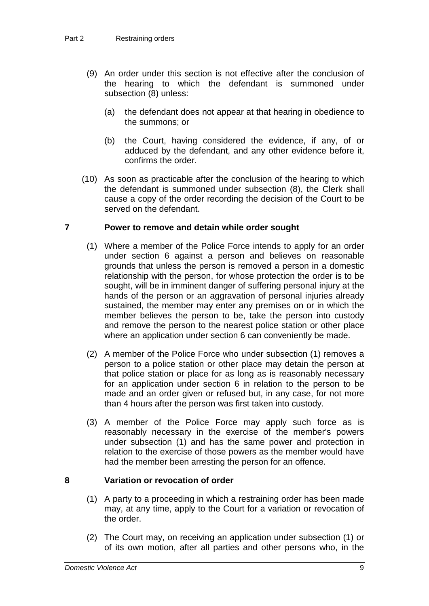- (9) An order under this section is not effective after the conclusion of the hearing to which the defendant is summoned under subsection (8) unless:
	- (a) the defendant does not appear at that hearing in obedience to the summons; or
	- (b) the Court, having considered the evidence, if any, of or adduced by the defendant, and any other evidence before it, confirms the order.
- (10) As soon as practicable after the conclusion of the hearing to which the defendant is summoned under subsection (8), the Clerk shall cause a copy of the order recording the decision of the Court to be served on the defendant.

#### **7 Power to remove and detain while order sought**

- (1) Where a member of the Police Force intends to apply for an order under section 6 against a person and believes on reasonable grounds that unless the person is removed a person in a domestic relationship with the person, for whose protection the order is to be sought, will be in imminent danger of suffering personal injury at the hands of the person or an aggravation of personal injuries already sustained, the member may enter any premises on or in which the member believes the person to be, take the person into custody and remove the person to the nearest police station or other place where an application under section 6 can conveniently be made.
- (2) A member of the Police Force who under subsection (1) removes a person to a police station or other place may detain the person at that police station or place for as long as is reasonably necessary for an application under section 6 in relation to the person to be made and an order given or refused but, in any case, for not more than 4 hours after the person was first taken into custody.
- (3) A member of the Police Force may apply such force as is reasonably necessary in the exercise of the member's powers under subsection (1) and has the same power and protection in relation to the exercise of those powers as the member would have had the member been arresting the person for an offence.

#### **8 Variation or revocation of order**

- (1) A party to a proceeding in which a restraining order has been made may, at any time, apply to the Court for a variation or revocation of the order.
- (2) The Court may, on receiving an application under subsection (1) or of its own motion, after all parties and other persons who, in the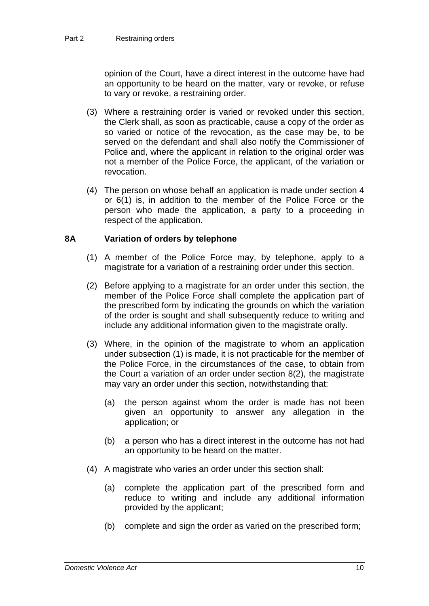opinion of the Court, have a direct interest in the outcome have had an opportunity to be heard on the matter, vary or revoke, or refuse to vary or revoke, a restraining order.

- (3) Where a restraining order is varied or revoked under this section, the Clerk shall, as soon as practicable, cause a copy of the order as so varied or notice of the revocation, as the case may be, to be served on the defendant and shall also notify the Commissioner of Police and, where the applicant in relation to the original order was not a member of the Police Force, the applicant, of the variation or revocation.
- (4) The person on whose behalf an application is made under section 4 or 6(1) is, in addition to the member of the Police Force or the person who made the application, a party to a proceeding in respect of the application.

#### **8A Variation of orders by telephone**

- (1) A member of the Police Force may, by telephone, apply to a magistrate for a variation of a restraining order under this section.
- (2) Before applying to a magistrate for an order under this section, the member of the Police Force shall complete the application part of the prescribed form by indicating the grounds on which the variation of the order is sought and shall subsequently reduce to writing and include any additional information given to the magistrate orally.
- (3) Where, in the opinion of the magistrate to whom an application under subsection (1) is made, it is not practicable for the member of the Police Force, in the circumstances of the case, to obtain from the Court a variation of an order under section 8(2), the magistrate may vary an order under this section, notwithstanding that:
	- (a) the person against whom the order is made has not been given an opportunity to answer any allegation in the application; or
	- (b) a person who has a direct interest in the outcome has not had an opportunity to be heard on the matter.
- (4) A magistrate who varies an order under this section shall:
	- (a) complete the application part of the prescribed form and reduce to writing and include any additional information provided by the applicant;
	- (b) complete and sign the order as varied on the prescribed form;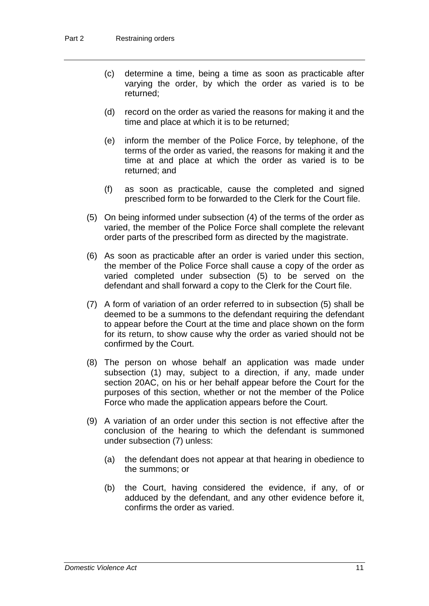- (c) determine a time, being a time as soon as practicable after varying the order, by which the order as varied is to be returned;
- (d) record on the order as varied the reasons for making it and the time and place at which it is to be returned;
- (e) inform the member of the Police Force, by telephone, of the terms of the order as varied, the reasons for making it and the time at and place at which the order as varied is to be returned; and
- (f) as soon as practicable, cause the completed and signed prescribed form to be forwarded to the Clerk for the Court file.
- (5) On being informed under subsection (4) of the terms of the order as varied, the member of the Police Force shall complete the relevant order parts of the prescribed form as directed by the magistrate.
- (6) As soon as practicable after an order is varied under this section, the member of the Police Force shall cause a copy of the order as varied completed under subsection (5) to be served on the defendant and shall forward a copy to the Clerk for the Court file.
- (7) A form of variation of an order referred to in subsection (5) shall be deemed to be a summons to the defendant requiring the defendant to appear before the Court at the time and place shown on the form for its return, to show cause why the order as varied should not be confirmed by the Court.
- (8) The person on whose behalf an application was made under subsection (1) may, subject to a direction, if any, made under section 20AC, on his or her behalf appear before the Court for the purposes of this section, whether or not the member of the Police Force who made the application appears before the Court.
- (9) A variation of an order under this section is not effective after the conclusion of the hearing to which the defendant is summoned under subsection (7) unless:
	- (a) the defendant does not appear at that hearing in obedience to the summons; or
	- (b) the Court, having considered the evidence, if any, of or adduced by the defendant, and any other evidence before it, confirms the order as varied.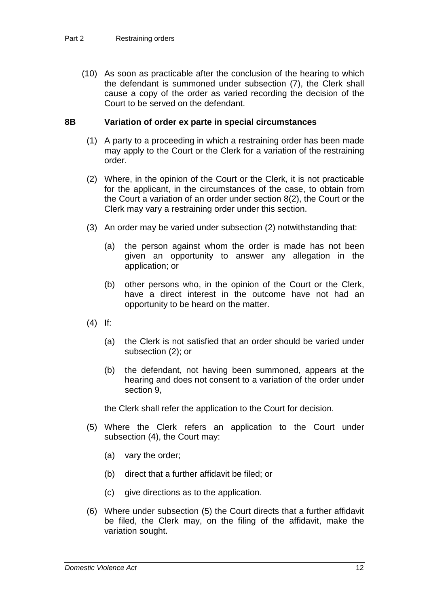(10) As soon as practicable after the conclusion of the hearing to which the defendant is summoned under subsection (7), the Clerk shall cause a copy of the order as varied recording the decision of the Court to be served on the defendant.

#### **8B Variation of order ex parte in special circumstances**

- (1) A party to a proceeding in which a restraining order has been made may apply to the Court or the Clerk for a variation of the restraining order.
- (2) Where, in the opinion of the Court or the Clerk, it is not practicable for the applicant, in the circumstances of the case, to obtain from the Court a variation of an order under section 8(2), the Court or the Clerk may vary a restraining order under this section.
- (3) An order may be varied under subsection (2) notwithstanding that:
	- (a) the person against whom the order is made has not been given an opportunity to answer any allegation in the application; or
	- (b) other persons who, in the opinion of the Court or the Clerk, have a direct interest in the outcome have not had an opportunity to be heard on the matter.
- (4) If:
	- (a) the Clerk is not satisfied that an order should be varied under subsection (2); or
	- (b) the defendant, not having been summoned, appears at the hearing and does not consent to a variation of the order under section 9,

the Clerk shall refer the application to the Court for decision.

- (5) Where the Clerk refers an application to the Court under subsection (4), the Court may:
	- (a) vary the order;
	- (b) direct that a further affidavit be filed; or
	- (c) give directions as to the application.
- (6) Where under subsection (5) the Court directs that a further affidavit be filed, the Clerk may, on the filing of the affidavit, make the variation sought.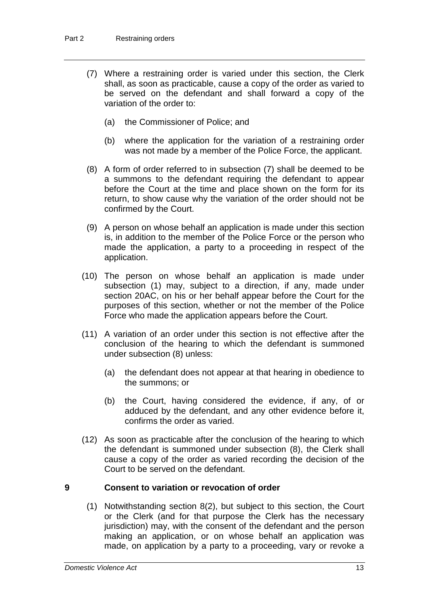- (7) Where a restraining order is varied under this section, the Clerk shall, as soon as practicable, cause a copy of the order as varied to be served on the defendant and shall forward a copy of the variation of the order to:
	- (a) the Commissioner of Police; and
	- (b) where the application for the variation of a restraining order was not made by a member of the Police Force, the applicant.
- (8) A form of order referred to in subsection (7) shall be deemed to be a summons to the defendant requiring the defendant to appear before the Court at the time and place shown on the form for its return, to show cause why the variation of the order should not be confirmed by the Court.
- (9) A person on whose behalf an application is made under this section is, in addition to the member of the Police Force or the person who made the application, a party to a proceeding in respect of the application.
- (10) The person on whose behalf an application is made under subsection (1) may, subject to a direction, if any, made under section 20AC, on his or her behalf appear before the Court for the purposes of this section, whether or not the member of the Police Force who made the application appears before the Court.
- (11) A variation of an order under this section is not effective after the conclusion of the hearing to which the defendant is summoned under subsection (8) unless:
	- (a) the defendant does not appear at that hearing in obedience to the summons; or
	- (b) the Court, having considered the evidence, if any, of or adduced by the defendant, and any other evidence before it, confirms the order as varied.
- (12) As soon as practicable after the conclusion of the hearing to which the defendant is summoned under subsection (8), the Clerk shall cause a copy of the order as varied recording the decision of the Court to be served on the defendant.

#### **9 Consent to variation or revocation of order**

(1) Notwithstanding section 8(2), but subject to this section, the Court or the Clerk (and for that purpose the Clerk has the necessary jurisdiction) may, with the consent of the defendant and the person making an application, or on whose behalf an application was made, on application by a party to a proceeding, vary or revoke a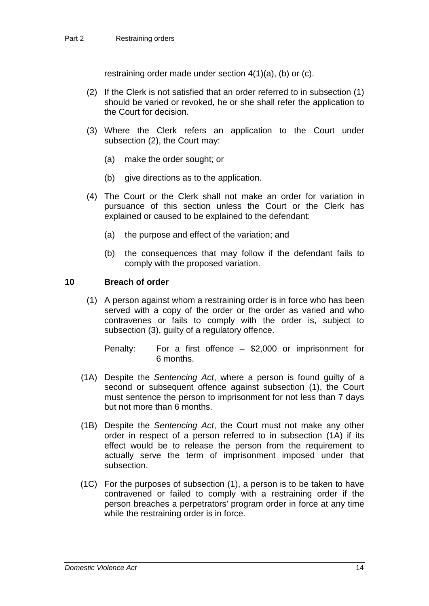restraining order made under section 4(1)(a), (b) or (c).

- (2) If the Clerk is not satisfied that an order referred to in subsection (1) should be varied or revoked, he or she shall refer the application to the Court for decision.
- (3) Where the Clerk refers an application to the Court under subsection (2), the Court may:
	- (a) make the order sought; or
	- (b) give directions as to the application.
- (4) The Court or the Clerk shall not make an order for variation in pursuance of this section unless the Court or the Clerk has explained or caused to be explained to the defendant:
	- (a) the purpose and effect of the variation; and
	- (b) the consequences that may follow if the defendant fails to comply with the proposed variation.

#### **10 Breach of order**

(1) A person against whom a restraining order is in force who has been served with a copy of the order or the order as varied and who contravenes or fails to comply with the order is, subject to subsection (3), guilty of a regulatory offence.

Penalty: For a first offence – \$2,000 or imprisonment for 6 months.

- (1A) Despite the *Sentencing Act*, where a person is found guilty of a second or subsequent offence against subsection (1), the Court must sentence the person to imprisonment for not less than 7 days but not more than 6 months.
- (1B) Despite the *Sentencing Act*, the Court must not make any other order in respect of a person referred to in subsection (1A) if its effect would be to release the person from the requirement to actually serve the term of imprisonment imposed under that subsection.
- (1C) For the purposes of subsection (1), a person is to be taken to have contravened or failed to comply with a restraining order if the person breaches a perpetrators' program order in force at any time while the restraining order is in force.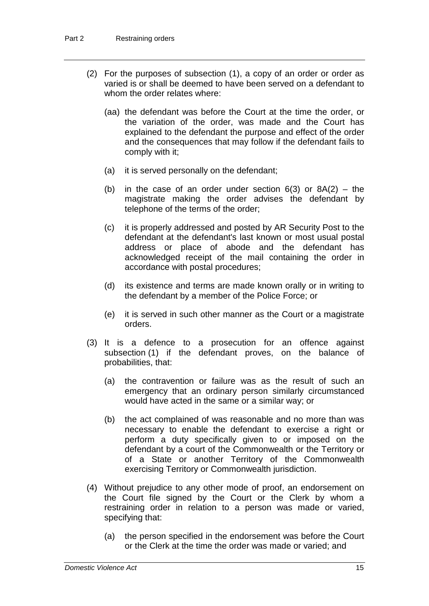- (2) For the purposes of subsection (1), a copy of an order or order as varied is or shall be deemed to have been served on a defendant to whom the order relates where:
	- (aa) the defendant was before the Court at the time the order, or the variation of the order, was made and the Court has explained to the defendant the purpose and effect of the order and the consequences that may follow if the defendant fails to comply with it;
	- (a) it is served personally on the defendant;
	- (b) in the case of an order under section  $6(3)$  or  $8A(2)$  the magistrate making the order advises the defendant by telephone of the terms of the order;
	- (c) it is properly addressed and posted by AR Security Post to the defendant at the defendant's last known or most usual postal address or place of abode and the defendant has acknowledged receipt of the mail containing the order in accordance with postal procedures;
	- (d) its existence and terms are made known orally or in writing to the defendant by a member of the Police Force; or
	- (e) it is served in such other manner as the Court or a magistrate orders.
- (3) It is a defence to a prosecution for an offence against subsection (1) if the defendant proves, on the balance of probabilities, that:
	- (a) the contravention or failure was as the result of such an emergency that an ordinary person similarly circumstanced would have acted in the same or a similar way; or
	- (b) the act complained of was reasonable and no more than was necessary to enable the defendant to exercise a right or perform a duty specifically given to or imposed on the defendant by a court of the Commonwealth or the Territory or of a State or another Territory of the Commonwealth exercising Territory or Commonwealth jurisdiction.
- (4) Without prejudice to any other mode of proof, an endorsement on the Court file signed by the Court or the Clerk by whom a restraining order in relation to a person was made or varied, specifying that:
	- (a) the person specified in the endorsement was before the Court or the Clerk at the time the order was made or varied; and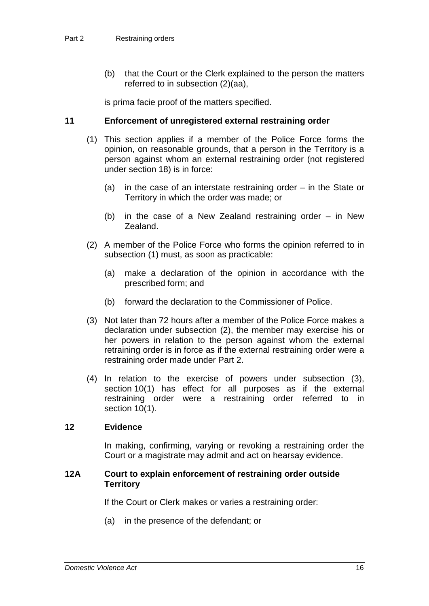(b) that the Court or the Clerk explained to the person the matters referred to in subsection (2)(aa),

is prima facie proof of the matters specified.

#### **11 Enforcement of unregistered external restraining order**

- (1) This section applies if a member of the Police Force forms the opinion, on reasonable grounds, that a person in the Territory is a person against whom an external restraining order (not registered under section 18) is in force:
	- (a) in the case of an interstate restraining order in the State or Territory in which the order was made; or
	- (b) in the case of a New Zealand restraining order in New Zealand.
- (2) A member of the Police Force who forms the opinion referred to in subsection (1) must, as soon as practicable:
	- (a) make a declaration of the opinion in accordance with the prescribed form; and
	- (b) forward the declaration to the Commissioner of Police.
- (3) Not later than 72 hours after a member of the Police Force makes a declaration under subsection (2), the member may exercise his or her powers in relation to the person against whom the external retraining order is in force as if the external restraining order were a restraining order made under Part 2.
- (4) In relation to the exercise of powers under subsection (3), section 10(1) has effect for all purposes as if the external restraining order were a restraining order referred to in section 10(1).

#### **12 Evidence**

In making, confirming, varying or revoking a restraining order the Court or a magistrate may admit and act on hearsay evidence.

#### **12A Court to explain enforcement of restraining order outside Territory**

If the Court or Clerk makes or varies a restraining order:

(a) in the presence of the defendant; or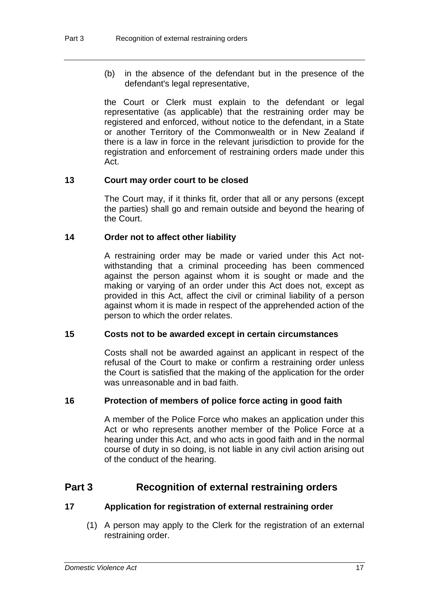(b) in the absence of the defendant but in the presence of the defendant's legal representative,

the Court or Clerk must explain to the defendant or legal representative (as applicable) that the restraining order may be registered and enforced, without notice to the defendant, in a State or another Territory of the Commonwealth or in New Zealand if there is a law in force in the relevant jurisdiction to provide for the registration and enforcement of restraining orders made under this Act.

#### **13 Court may order court to be closed**

The Court may, if it thinks fit, order that all or any persons (except the parties) shall go and remain outside and beyond the hearing of the Court.

#### **14 Order not to affect other liability**

A restraining order may be made or varied under this Act notwithstanding that a criminal proceeding has been commenced against the person against whom it is sought or made and the making or varying of an order under this Act does not, except as provided in this Act, affect the civil or criminal liability of a person against whom it is made in respect of the apprehended action of the person to which the order relates.

#### **15 Costs not to be awarded except in certain circumstances**

Costs shall not be awarded against an applicant in respect of the refusal of the Court to make or confirm a restraining order unless the Court is satisfied that the making of the application for the order was unreasonable and in bad faith.

#### **16 Protection of members of police force acting in good faith**

A member of the Police Force who makes an application under this Act or who represents another member of the Police Force at a hearing under this Act, and who acts in good faith and in the normal course of duty in so doing, is not liable in any civil action arising out of the conduct of the hearing.

## **Part 3 Recognition of external restraining orders**

#### **17 Application for registration of external restraining order**

(1) A person may apply to the Clerk for the registration of an external restraining order.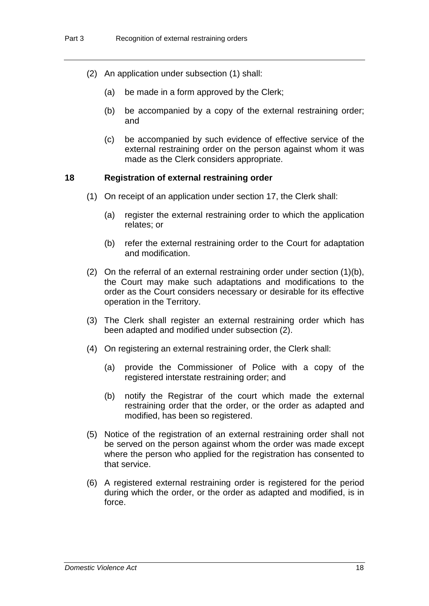- (2) An application under subsection (1) shall:
	- (a) be made in a form approved by the Clerk;
	- (b) be accompanied by a copy of the external restraining order; and
	- (c) be accompanied by such evidence of effective service of the external restraining order on the person against whom it was made as the Clerk considers appropriate.

#### **18 Registration of external restraining order**

- (1) On receipt of an application under section 17, the Clerk shall:
	- (a) register the external restraining order to which the application relates; or
	- (b) refer the external restraining order to the Court for adaptation and modification.
- (2) On the referral of an external restraining order under section (1)(b), the Court may make such adaptations and modifications to the order as the Court considers necessary or desirable for its effective operation in the Territory.
- (3) The Clerk shall register an external restraining order which has been adapted and modified under subsection (2).
- (4) On registering an external restraining order, the Clerk shall:
	- (a) provide the Commissioner of Police with a copy of the registered interstate restraining order; and
	- (b) notify the Registrar of the court which made the external restraining order that the order, or the order as adapted and modified, has been so registered.
- (5) Notice of the registration of an external restraining order shall not be served on the person against whom the order was made except where the person who applied for the registration has consented to that service.
- (6) A registered external restraining order is registered for the period during which the order, or the order as adapted and modified, is in force.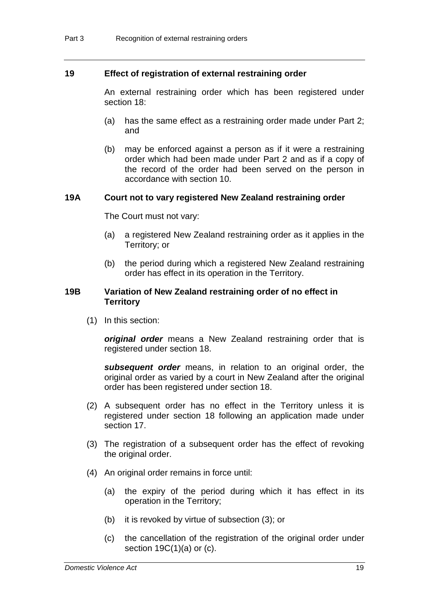#### **19 Effect of registration of external restraining order**

An external restraining order which has been registered under section 18:

- (a) has the same effect as a restraining order made under Part 2; and
- (b) may be enforced against a person as if it were a restraining order which had been made under Part 2 and as if a copy of the record of the order had been served on the person in accordance with section 10.

#### **19A Court not to vary registered New Zealand restraining order**

The Court must not vary:

- (a) a registered New Zealand restraining order as it applies in the Territory; or
- (b) the period during which a registered New Zealand restraining order has effect in its operation in the Territory.

#### **19B Variation of New Zealand restraining order of no effect in Territory**

(1) In this section:

*original order* means a New Zealand restraining order that is registered under section 18.

*subsequent order* means, in relation to an original order, the original order as varied by a court in New Zealand after the original order has been registered under section 18.

- (2) A subsequent order has no effect in the Territory unless it is registered under section 18 following an application made under section 17.
- (3) The registration of a subsequent order has the effect of revoking the original order.
- (4) An original order remains in force until:
	- (a) the expiry of the period during which it has effect in its operation in the Territory;
	- (b) it is revoked by virtue of subsection (3); or
	- (c) the cancellation of the registration of the original order under section  $19C(1)(a)$  or (c).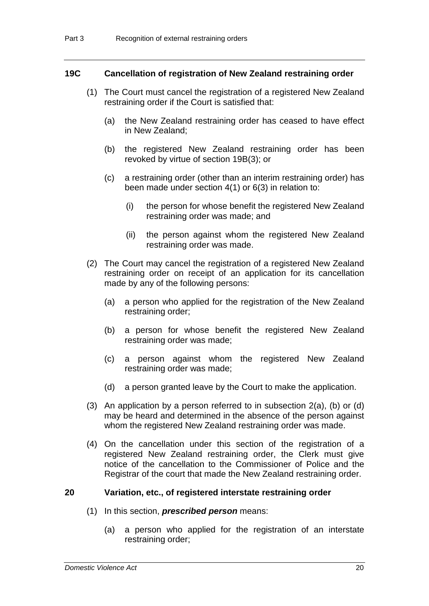#### **19C Cancellation of registration of New Zealand restraining order**

- (1) The Court must cancel the registration of a registered New Zealand restraining order if the Court is satisfied that:
	- (a) the New Zealand restraining order has ceased to have effect in New Zealand;
	- (b) the registered New Zealand restraining order has been revoked by virtue of section 19B(3); or
	- (c) a restraining order (other than an interim restraining order) has been made under section 4(1) or 6(3) in relation to:
		- (i) the person for whose benefit the registered New Zealand restraining order was made; and
		- (ii) the person against whom the registered New Zealand restraining order was made.
- (2) The Court may cancel the registration of a registered New Zealand restraining order on receipt of an application for its cancellation made by any of the following persons:
	- (a) a person who applied for the registration of the New Zealand restraining order;
	- (b) a person for whose benefit the registered New Zealand restraining order was made;
	- (c) a person against whom the registered New Zealand restraining order was made;
	- (d) a person granted leave by the Court to make the application.
- (3) An application by a person referred to in subsection 2(a), (b) or (d) may be heard and determined in the absence of the person against whom the registered New Zealand restraining order was made.
- (4) On the cancellation under this section of the registration of a registered New Zealand restraining order, the Clerk must give notice of the cancellation to the Commissioner of Police and the Registrar of the court that made the New Zealand restraining order.

#### **20 Variation, etc., of registered interstate restraining order**

- (1) In this section, *prescribed person* means:
	- (a) a person who applied for the registration of an interstate restraining order;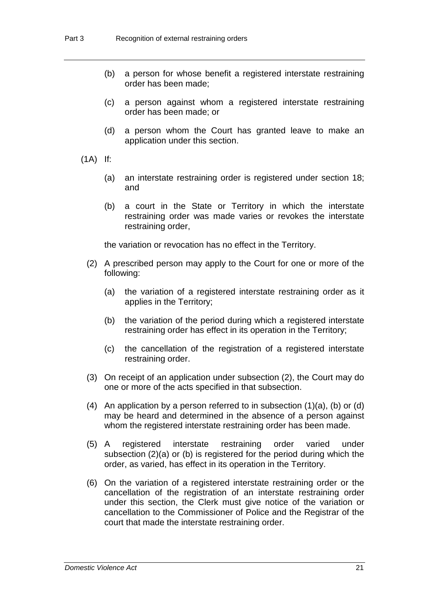- (b) a person for whose benefit a registered interstate restraining order has been made;
- (c) a person against whom a registered interstate restraining order has been made; or
- (d) a person whom the Court has granted leave to make an application under this section.
- (1A) If:
	- (a) an interstate restraining order is registered under section 18; and
	- (b) a court in the State or Territory in which the interstate restraining order was made varies or revokes the interstate restraining order,

the variation or revocation has no effect in the Territory.

- (2) A prescribed person may apply to the Court for one or more of the following:
	- (a) the variation of a registered interstate restraining order as it applies in the Territory;
	- (b) the variation of the period during which a registered interstate restraining order has effect in its operation in the Territory;
	- (c) the cancellation of the registration of a registered interstate restraining order.
- (3) On receipt of an application under subsection (2), the Court may do one or more of the acts specified in that subsection.
- (4) An application by a person referred to in subsection  $(1)(a)$ ,  $(b)$  or  $(d)$ may be heard and determined in the absence of a person against whom the registered interstate restraining order has been made.
- (5) A registered interstate restraining order varied under subsection (2)(a) or (b) is registered for the period during which the order, as varied, has effect in its operation in the Territory.
- (6) On the variation of a registered interstate restraining order or the cancellation of the registration of an interstate restraining order under this section, the Clerk must give notice of the variation or cancellation to the Commissioner of Police and the Registrar of the court that made the interstate restraining order.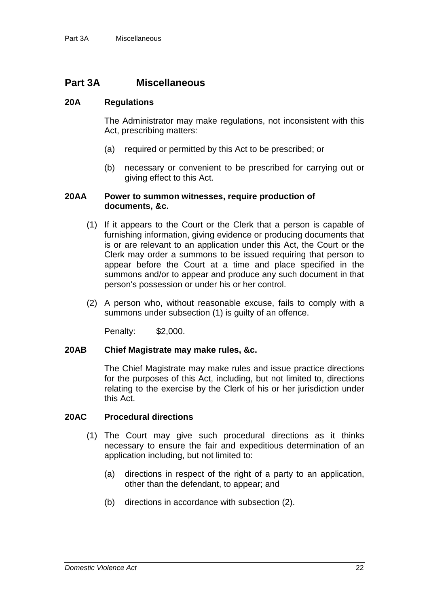### **Part 3A Miscellaneous**

#### **20A Regulations**

The Administrator may make regulations, not inconsistent with this Act, prescribing matters:

- (a) required or permitted by this Act to be prescribed; or
- (b) necessary or convenient to be prescribed for carrying out or giving effect to this Act.

#### **20AA Power to summon witnesses, require production of documents, &c.**

- (1) If it appears to the Court or the Clerk that a person is capable of furnishing information, giving evidence or producing documents that is or are relevant to an application under this Act, the Court or the Clerk may order a summons to be issued requiring that person to appear before the Court at a time and place specified in the summons and/or to appear and produce any such document in that person's possession or under his or her control.
- (2) A person who, without reasonable excuse, fails to comply with a summons under subsection (1) is guilty of an offence.

Penalty: \$2,000.

#### **20AB Chief Magistrate may make rules, &c.**

The Chief Magistrate may make rules and issue practice directions for the purposes of this Act, including, but not limited to, directions relating to the exercise by the Clerk of his or her jurisdiction under this Act.

#### **20AC Procedural directions**

- (1) The Court may give such procedural directions as it thinks necessary to ensure the fair and expeditious determination of an application including, but not limited to:
	- (a) directions in respect of the right of a party to an application, other than the defendant, to appear; and
	- (b) directions in accordance with subsection (2).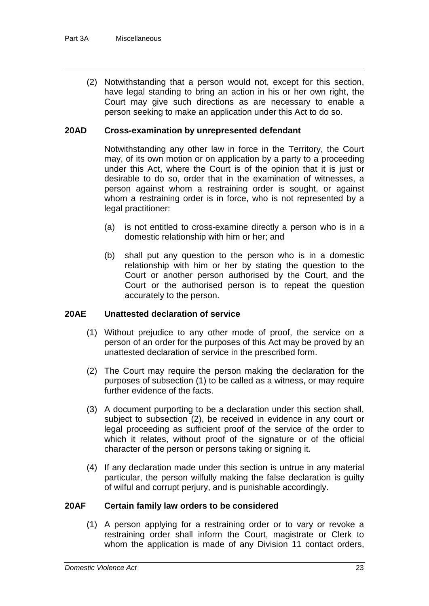(2) Notwithstanding that a person would not, except for this section, have legal standing to bring an action in his or her own right, the Court may give such directions as are necessary to enable a person seeking to make an application under this Act to do so.

#### **20AD Cross-examination by unrepresented defendant**

Notwithstanding any other law in force in the Territory, the Court may, of its own motion or on application by a party to a proceeding under this Act, where the Court is of the opinion that it is just or desirable to do so, order that in the examination of witnesses, a person against whom a restraining order is sought, or against whom a restraining order is in force, who is not represented by a legal practitioner:

- (a) is not entitled to cross-examine directly a person who is in a domestic relationship with him or her; and
- (b) shall put any question to the person who is in a domestic relationship with him or her by stating the question to the Court or another person authorised by the Court, and the Court or the authorised person is to repeat the question accurately to the person.

#### **20AE Unattested declaration of service**

- (1) Without prejudice to any other mode of proof, the service on a person of an order for the purposes of this Act may be proved by an unattested declaration of service in the prescribed form.
- (2) The Court may require the person making the declaration for the purposes of subsection (1) to be called as a witness, or may require further evidence of the facts.
- (3) A document purporting to be a declaration under this section shall, subject to subsection (2), be received in evidence in any court or legal proceeding as sufficient proof of the service of the order to which it relates, without proof of the signature or of the official character of the person or persons taking or signing it.
- (4) If any declaration made under this section is untrue in any material particular, the person wilfully making the false declaration is guilty of wilful and corrupt perjury, and is punishable accordingly.

#### **20AF Certain family law orders to be considered**

(1) A person applying for a restraining order or to vary or revoke a restraining order shall inform the Court, magistrate or Clerk to whom the application is made of any Division 11 contact orders,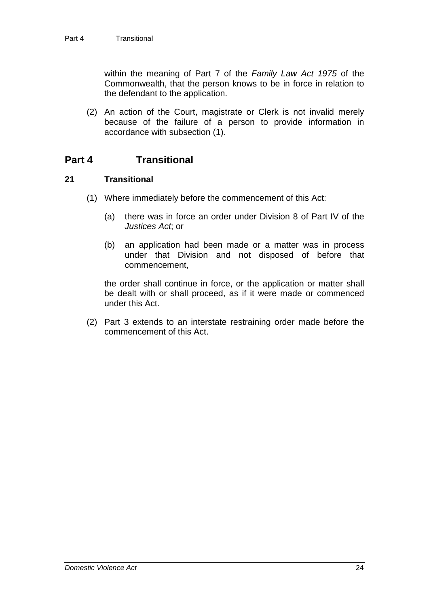within the meaning of Part 7 of the *Family Law Act 1975* of the Commonwealth, that the person knows to be in force in relation to the defendant to the application.

(2) An action of the Court, magistrate or Clerk is not invalid merely because of the failure of a person to provide information in accordance with subsection (1).

## **Part 4 Transitional**

#### **21 Transitional**

- (1) Where immediately before the commencement of this Act:
	- (a) there was in force an order under Division 8 of Part IV of the *Justices Act*; or
	- (b) an application had been made or a matter was in process under that Division and not disposed of before that commencement,

the order shall continue in force, or the application or matter shall be dealt with or shall proceed, as if it were made or commenced under this Act.

(2) Part 3 extends to an interstate restraining order made before the commencement of this Act.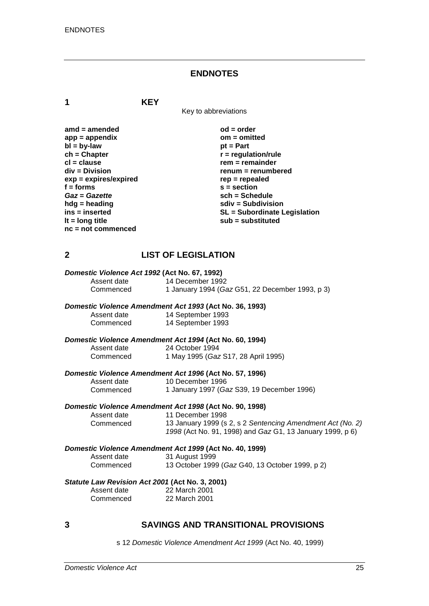#### **ENDNOTES**

**1 KEY**

Key to abbreviations

| amd = amended         |
|-----------------------|
| app = appendix        |
| $bl = by-law$         |
| ch = Chapter          |
| cl = clause           |
| div = Division        |
| exp = expires/expired |
| f = forms             |
| Gaz = Gazette         |
| hdg = heading         |
| ins = inserted        |
| It = long title       |
| nc = not commenced    |
|                       |

**amd = amended od = order app = appendix om = omitted pt = Part**  $\mathbf{r}$  = regulation/rule **cl = clause rem = remainder div = Division renum = renumbered exp = expires/expired rep = repealed f = forms s = section** *Gaz* **=** *Gazette* **sch = Schedule hdg = heading sdiv = Subdivision ins = inserted SL = Subordinate Legislation lt = long title sub = substituted**

#### **2 LIST OF LEGISLATION**

| Domestic Violence Act 1992 (Act No. 67, 1992) |                                                            |
|-----------------------------------------------|------------------------------------------------------------|
| Assent date 14 December 1992                  |                                                            |
| Commenced                                     | 1 January 1994 (Gaz G51, 22 December 1993, p 3)            |
|                                               | Domestic Violence Amendment Act 1993 (Act No. 36, 1993)    |
| Assent date                                   | 14 September 1993                                          |
| Commenced                                     | 14 September 1993                                          |
|                                               | Domestic Violence Amendment Act 1994 (Act No. 60, 1994)    |
| Assent date 24 October 1994                   |                                                            |
| Commenced                                     | 1 May 1995 (Gaz S17, 28 April 1995)                        |
|                                               | Domestic Violence Amendment Act 1996 (Act No. 57, 1996)    |
| Assent date 10 December 1996                  |                                                            |
| Commenced                                     | 1 January 1997 (Gaz S39, 19 December 1996)                 |
|                                               | Domestic Violence Amendment Act 1998 (Act No. 90, 1998)    |
| Assent date                                   | 11 December 1998                                           |
| Commenced                                     | 13 January 1999 (s 2, s 2 Sentencing Amendment Act (No. 2) |
|                                               | 1998 (Act No. 91, 1998) and Gaz G1, 13 January 1999, p 6)  |
|                                               | Domestic Violence Amendment Act 1999 (Act No. 40, 1999)    |
| Assent date                                   | 31 August 1999                                             |
| Commenced                                     | 13 October 1999 (Gaz G40, 13 October 1999, p 2)            |

#### *Statute Law Revision Act 2001* **(Act No. 3, 2001)**

| Assent date | 22 March 2001 |
|-------------|---------------|
| Commenced   | 22 March 2001 |

#### **3 SAVINGS AND TRANSITIONAL PROVISIONS**

s 12 *Domestic Violence Amendment Act 1999* (Act No. 40, 1999)